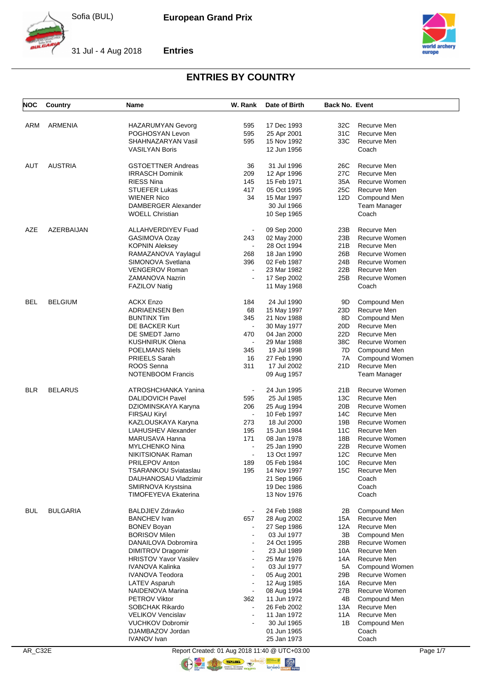

**Entries**



31 Jul - 4 Aug 2018



#### **ENTRIES BY COUNTRY**

| NOC        | Country         | Name                                       | W. Rank        | Date of Birth              | <b>Back No. Event</b> |                        |
|------------|-----------------|--------------------------------------------|----------------|----------------------------|-----------------------|------------------------|
|            |                 |                                            |                |                            |                       |                        |
| ARM        | <b>ARMENIA</b>  | <b>HAZARUMYAN Gevorg</b>                   | 595            | 17 Dec 1993                | 32C                   | Recurve Men            |
|            |                 | POGHOSYAN Levon                            | 595            | 25 Apr 2001                | 31C                   | Recurve Men            |
|            |                 | SHAHNAZARYAN Vasil                         | 595            | 15 Nov 1992                | 33C                   | Recurve Men            |
|            |                 | <b>VASILYAN Boris</b>                      |                | 12 Jun 1956                |                       | Coach                  |
| AUT        | <b>AUSTRIA</b>  | <b>GSTOETTNER Andreas</b>                  | 36             | 31 Jul 1996                | 26C                   | Recurve Men            |
|            |                 | <b>IRRASCH Dominik</b>                     | 209            | 12 Apr 1996                | 27C                   | Recurve Men            |
|            |                 | <b>RIESS Nina</b>                          | 145            | 15 Feb 1971                | 35A                   | Recurve Women          |
|            |                 | <b>STUEFER Lukas</b>                       | 417            | 05 Oct 1995                | 25C                   | Recurve Men            |
|            |                 | <b>WIENER Nico</b>                         | 34             | 15 Mar 1997                | 12D                   | Compound Men           |
|            |                 | DAMBERGER Alexander                        |                | 30 Jul 1966                |                       | <b>Team Manager</b>    |
|            |                 | <b>WOELL Christian</b>                     |                | 10 Sep 1965                |                       | Coach                  |
| AZE        | AZERBAIJAN      | <b>ALLAHVERDIYEV Fuad</b>                  |                | 09 Sep 2000                | 23B                   | Recurve Men            |
|            |                 | GASIMOVA Ozay                              | 243            | 02 May 2000                | 23B                   | Recurve Women          |
|            |                 | <b>KOPNIN Aleksey</b>                      |                | 28 Oct 1994                | 21B                   | Recurve Men            |
|            |                 | RAMAZANOVA Yaylagul                        | 268            | 18 Jan 1990                | 26B                   | Recurve Women          |
|            |                 | SIMONOVA Svetlana                          |                | 02 Feb 1987                | 24B                   | Recurve Women          |
|            |                 |                                            | 396            |                            |                       |                        |
|            |                 | <b>VENGEROV Roman</b>                      |                | 23 Mar 1982                | 22B                   | Recurve Men            |
|            |                 | ZAMANOVA Nazrin<br><b>FAZILOV Natig</b>    |                | 17 Sep 2002<br>11 May 1968 | 25B                   | Recurve Women<br>Coach |
|            |                 |                                            |                |                            |                       |                        |
| BEL        | <b>BELGIUM</b>  | <b>ACKX Enzo</b>                           | 184            | 24 Jul 1990                | 9D                    | Compound Men           |
|            |                 | <b>ADRIAENSEN Ben</b>                      | 68             | 15 May 1997                | 23D                   | Recurve Men            |
|            |                 | <b>BUNTINX Tim</b>                         | 345            | 21 Nov 1988                | 8D                    | Compound Men           |
|            |                 | DE BACKER Kurt                             | $\blacksquare$ | 30 May 1977                | 20D                   | Recurve Men            |
|            |                 | DE SMEDT Jarno                             | 470            | 04 Jan 2000                | 22D                   | Recurve Men            |
|            |                 | <b>KUSHNIRUK Olena</b>                     |                | 29 Mar 1988                | 38C                   | Recurve Women          |
|            |                 | <b>POELMANS Niels</b>                      | 345            | 19 Jul 1998                | 7D                    | Compound Men           |
|            |                 | <b>PRIEELS Sarah</b>                       | 16             | 27 Feb 1990                | 7A                    | Compound Women         |
|            |                 | ROOS Senna                                 | 311            | 17 Jul 2002                | 21D                   | Recurve Men            |
|            |                 | <b>NOTENBOOM Francis</b>                   |                | 09 Aug 1957                |                       | <b>Team Manager</b>    |
| BLR        | <b>BELARUS</b>  | ATROSHCHANKA Yanina                        |                | 24 Jun 1995                | 21B                   | Recurve Women          |
|            |                 | <b>DALIDOVICH Pavel</b>                    | 595            | 25 Jul 1985                | 13C                   | Recurve Men            |
|            |                 | DZIOMINSKAYA Karyna                        | 206            | 25 Aug 1994                | 20B                   | Recurve Women          |
|            |                 | <b>FIRSAU Kiryl</b>                        | $\blacksquare$ | 10 Feb 1997                | 14C                   | Recurve Men            |
|            |                 | KAZLOUSKAYA Karyna                         | 273            | 18 Jul 2000                | 19B                   | Recurve Women          |
|            |                 | LIAHUSHEV Alexander                        | 195            | 15 Jun 1984                | 11C                   | Recurve Men            |
|            |                 | MARUSAVA Hanna                             | 171            | 08 Jan 1978                | 18B                   | Recurve Women          |
|            |                 | <b>MYLCHENKO Nina</b>                      |                | 25 Jan 1990                | 22B                   | <b>Recurve Women</b>   |
|            |                 |                                            |                | 13 Oct 1997                | 12C                   | Recurve Men            |
|            |                 | NIKITSIONAK Raman                          | 189            | 05 Feb 1984                | 10C                   |                        |
|            |                 | PRILEPOV Anton                             |                |                            |                       | Recurve Men            |
|            |                 | <b>TSARANKOU Sviataslau</b>                | 195            | 14 Nov 1997                | 15C                   | Recurve Men            |
|            |                 | DAUHANOSAU Vladzimir                       |                | 21 Sep 1966                |                       | Coach                  |
|            |                 | SMIRNOVA Krystsina<br>TIMOFEYEVA Ekaterina |                | 19 Dec 1986<br>13 Nov 1976 |                       | Coach                  |
|            |                 |                                            |                |                            |                       | Coach                  |
| <b>BUL</b> | <b>BULGARIA</b> | <b>BALDJIEV Zdravko</b>                    |                | 24 Feb 1988                | 2B                    | Compound Men           |
|            |                 | <b>BANCHEV</b> Ivan                        | 657            | 28 Aug 2002                | 15A                   | Recurve Men            |
|            |                 | <b>BONEV Boyan</b>                         |                | 27 Sep 1986                | 12A                   | Recurve Men            |
|            |                 | <b>BORISOV Milen</b>                       |                | 03 Jul 1977                | 3B                    | Compound Men           |
|            |                 | DANAILOVA Dobromira                        |                | 24 Oct 1995                | 28B                   | Recurve Women          |
|            |                 | <b>DIMITROV Dragomir</b>                   |                | 23 Jul 1989                | 10A                   | Recurve Men            |
|            |                 | <b>HRISTOV Yavor Vasilev</b>               |                | 25 Mar 1976                | 14A                   | Recurve Men            |
|            |                 | IVANOVA Kalinka                            |                | 03 Jul 1977                | 5A                    | Compound Women         |
|            |                 | <b>IVANOVA Teodora</b>                     |                | 05 Aug 2001                | 29B                   | Recurve Women          |
|            |                 | LATEV Asparuh                              | $\blacksquare$ | 12 Aug 1985                | 16A                   | Recurve Men            |
|            |                 | NAIDENOVA Marina                           |                | 08 Aug 1994                | 27B                   | Recurve Women          |
|            |                 | <b>PETROV Viktor</b>                       | 362            | 11 Jun 1972                | 4B                    | Compound Men           |
|            |                 | SOBCHAK Rikardo                            | $\blacksquare$ | 26 Feb 2002                | 13A                   | Recurve Men            |
|            |                 | <b>VELIKOV Vencislav</b>                   |                | 11 Jan 1972                | 11A                   | Recurve Men            |
|            |                 | <b>VUCHKOV Dobromir</b>                    |                | 30 Jul 1965                | 1B                    | Compound Men           |
|            |                 | DJAMBAZOV Jordan                           |                | 01 Jun 1965                |                       | Coach                  |
|            |                 | <b>IVANOV</b> Ivan                         |                | 25 Jan 1973                |                       | Coach                  |
|            |                 |                                            |                |                            |                       |                        |

AR\_C32E Report Created: 01 Aug 2018 11:40 @ UTC+03:00 OF THE THE T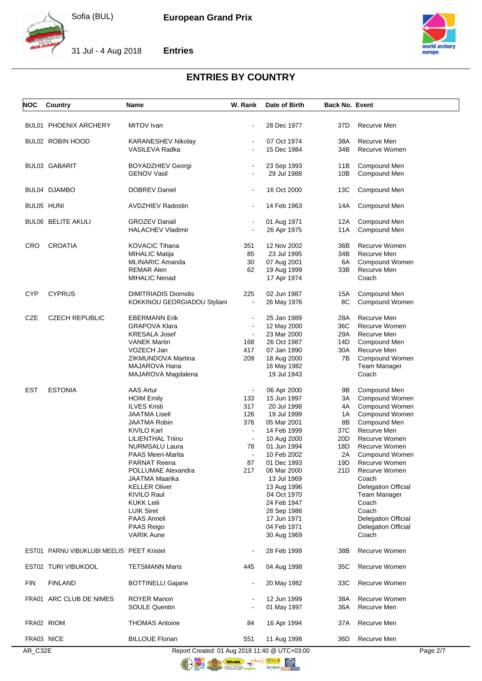

31 Jul - 4 Aug 2018



# **Entries**

## **ENTRIES BY COUNTRY**

| <b>NOC</b> | Country                                   | Name                                          | W. Rank        | Date of Birth              | <b>Back No. Event</b> |                                                   |          |
|------------|-------------------------------------------|-----------------------------------------------|----------------|----------------------------|-----------------------|---------------------------------------------------|----------|
|            |                                           |                                               |                |                            |                       |                                                   |          |
|            | <b>BUL01 PHOENIX ARCHERY</b>              | MITOV Ivan                                    |                | 28 Dec 1977                | 37D                   | Recurve Men                                       |          |
|            | BUL02 ROBIN HOOD                          | <b>KARANESHEV Nikolay</b>                     |                | 07 Oct 1974                | 38A                   | Recurve Men                                       |          |
|            |                                           | VASILEVA Radka                                |                | 15 Dec 1984                | 34B                   | Recurve Women                                     |          |
|            |                                           |                                               |                |                            |                       |                                                   |          |
|            | <b>BUL03 GABARIT</b>                      | <b>BOYADZHIEV Georgi</b>                      |                | 23 Sep 1993                | 11B                   | Compound Men                                      |          |
|            |                                           | <b>GENOV Vasil</b>                            |                | 29 Jul 1988                | 10B                   | Compound Men                                      |          |
|            | BUL04 DJAMBO                              | DOBREV Daniel                                 |                | 16 Oct 2000                | 13C                   | Compound Men                                      |          |
|            |                                           |                                               |                |                            |                       |                                                   |          |
| BUL05 HUNI |                                           | <b>AVDZHIEV Radostin</b>                      |                | 14 Feb 1963                | 14A                   | Compound Men                                      |          |
|            | <b>BUL06 BELITE AKULI</b>                 | <b>GROZEV Danail</b>                          |                | 01 Aug 1971                | 12A                   | Compound Men                                      |          |
|            |                                           | <b>HALACHEV Vladimir</b>                      |                | 26 Apr 1975                | 11A                   | Compound Men                                      |          |
| <b>CRO</b> | <b>CROATIA</b>                            | <b>KOVACIC Tihana</b>                         | 351            | 12 Nov 2002                | 36B                   | Recurve Women                                     |          |
|            |                                           | MIHALIC Matija                                | 85             | 23 Jul 1995                | 34B                   | Recurve Men                                       |          |
|            |                                           | <b>MLINARIC Amanda</b>                        | 30             | 07 Aug 2001                | 6A                    | Compound Women                                    |          |
|            |                                           | <b>REMAR Alen</b>                             | 62             | 19 Aug 1999                | 33B                   | Recurve Men                                       |          |
|            |                                           | <b>MIHALIC Nenad</b>                          |                | 17 Apr 1974                |                       | Coach                                             |          |
|            |                                           |                                               |                |                            |                       |                                                   |          |
| <b>CYP</b> | <b>CYPRUS</b>                             | <b>DIMITRIADIS Diomidis</b>                   | 225            | 02 Jun 1987                | 15A                   | Compound Men                                      |          |
|            |                                           | KOKKINOU GEORGIADOU Styliani                  | $\blacksquare$ | 26 May 1976                | 8C                    | Compound Women                                    |          |
| <b>CZE</b> | <b>CZECH REPUBLIC</b>                     | <b>EBERMANN Erik</b>                          |                | 25 Jan 1989                | 28A                   | Recurve Men                                       |          |
|            |                                           | <b>GRAPOVA Klara</b>                          |                | 12 May 2000                | 36C                   | Recurve Women                                     |          |
|            |                                           |                                               | $\blacksquare$ | 23 Mar 2000                | 29A                   | Recurve Men                                       |          |
|            |                                           | <b>KRESALA Josef</b><br><b>VANEK Martin</b>   | 168            | 26 Oct 1987                | 14D                   | Compound Men                                      |          |
|            |                                           | VOZECH Jan                                    | 417            |                            | 30A                   | Recurve Men                                       |          |
|            |                                           | ZIKMUNDOVA Martina                            | 209            | 07 Jan 1990                | 7B                    |                                                   |          |
|            |                                           |                                               |                | 18 Aug 2000                |                       | Compound Women                                    |          |
|            |                                           | MAJAROVA Hana                                 |                | 16 May 1982                |                       | <b>Team Manager</b>                               |          |
|            |                                           | MAJAROVA Magdalena                            |                | 19 Jul 1943                |                       | Coach                                             |          |
| <b>EST</b> | <b>ESTONIA</b>                            | <b>AAS Artur</b>                              | $\blacksquare$ | 06 Apr 2000                | 9Β                    | Compound Men                                      |          |
|            |                                           | <b>HOIM Emily</b>                             | 133            | 15 Jun 1997                | ЗΑ                    | Compound Women                                    |          |
|            |                                           | <b>ILVES Kristi</b>                           | 317            | 20 Jul 1998                | 4Α                    | Compound Women                                    |          |
|            |                                           | <b>JAATMA Lisell</b>                          | 126            | 19 Jul 1999                | 1A                    | Compound Women                                    |          |
|            |                                           | <b>JAATMA Robin</b>                           | 376            | 05 Mar 2001                | 8Β                    | Compound Men                                      |          |
|            |                                           | <b>KIVILO Karl</b>                            |                | 14 Feb 1999                | 37C                   | Recurve Men                                       |          |
|            |                                           | LILIENTHAL Triinu                             | $\blacksquare$ | 10 Aug 2000                | 20D                   | Recurve Women                                     |          |
|            |                                           | <b>NURMSALU Laura</b>                         | 78             | 01 Jun 1994                | 18D                   | Recurve Women                                     |          |
|            |                                           | <b>PAAS Meeri-Marita</b>                      |                | 10 Feb 2002                | 2A                    | Compound Women                                    |          |
|            |                                           | PARNAT Reena                                  | 87             | 01 Dec 1993                | 19D                   | Recurve Women                                     |          |
|            |                                           | POLLUMAE Alexandra                            | 217            | 06 Mar 2000                | 21D                   | Recurve Women                                     |          |
|            |                                           | JAATMA Maarika                                |                | 13 Jul 1969                |                       | Coach                                             |          |
|            |                                           | <b>KELLER Oliver</b>                          |                |                            |                       |                                                   |          |
|            |                                           |                                               |                | 13 Aug 1996<br>04 Oct 1970 |                       | <b>Delegation Official</b><br><b>Team Manager</b> |          |
|            |                                           | KIVILO Raul                                   |                | 24 Feb 1947                |                       |                                                   |          |
|            |                                           | <b>KUKK Leili</b>                             |                |                            |                       | Coach                                             |          |
|            |                                           | <b>LUIK Siret</b>                             |                | 28 Sep 1986                |                       | Coach                                             |          |
|            |                                           | PAAS Anneli                                   |                | 17 Jun 1971                |                       | <b>Delegation Official</b>                        |          |
|            |                                           | PAAS Reigo                                    |                | 04 Feb 1971                |                       | <b>Delegation Official</b>                        |          |
|            |                                           | <b>VARIK Aune</b>                             |                | 30 Aug 1969                |                       | Coach                                             |          |
|            | EST01 PARNU VIBUKLUBI MEELIS PEET Kristel |                                               |                | 28 Feb 1999                | 38B                   | Recurve Women                                     |          |
|            | EST02 TURI VIBUKOOL                       | <b>TETSMANN Maris</b>                         | 445            | 04 Aug 1998                | 35C                   | Recurve Women                                     |          |
| <b>FIN</b> | <b>FINLAND</b>                            | <b>BOTTINELLI Gajane</b>                      |                | 20 May 1982                | 33C                   | Recurve Women                                     |          |
|            | FRA01 ARC CLUB DE NIMES                   | <b>ROYER Manon</b>                            |                | 12 Jun 1999                | 38A                   | Recurve Women                                     |          |
|            |                                           | <b>SOULE Quentin</b>                          |                | 01 May 1997                | 36A                   | Recurve Men                                       |          |
|            |                                           |                                               |                |                            |                       |                                                   |          |
| FRA02 RIOM |                                           | <b>THOMAS Antoine</b>                         | 84             | 16 Apr 1994                | 37A                   | Recurve Men                                       |          |
| FRA03 NICE |                                           | <b>BILLOUE Florian</b>                        | 551            | 11 Aug 1998                | 36D                   | Recurve Men                                       |          |
| AR_C32E    |                                           | Report Created: 01 Aug 2018 11:40 @ UTC+03:00 |                |                            |                       |                                                   | Page 2/7 |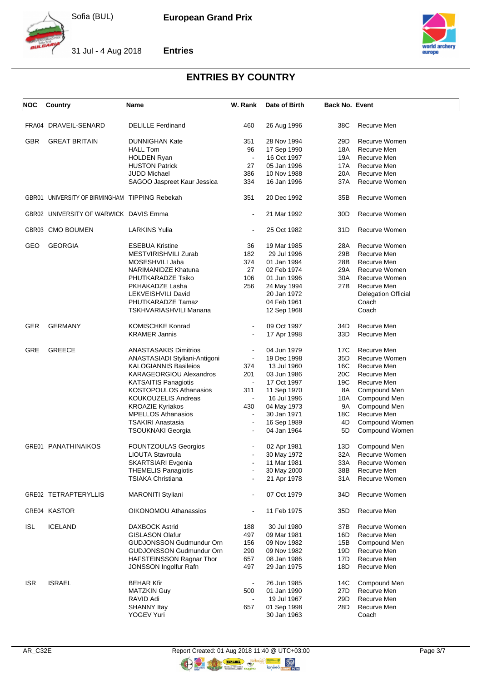



31 Jul - 4 Aug 2018





# **ENTRIES BY COUNTRY**

| NOC        | Country                                        | Name                                                     | W. Rank                  | Date of Birth              | <b>Back No. Event</b> |                            |
|------------|------------------------------------------------|----------------------------------------------------------|--------------------------|----------------------------|-----------------------|----------------------------|
|            | FRA04 DRAVEIL-SENARD                           | <b>DELILLE Ferdinand</b>                                 | 460                      | 26 Aug 1996                | 38C                   | Recurve Men                |
|            |                                                |                                                          |                          |                            |                       |                            |
| <b>GBR</b> | <b>GREAT BRITAIN</b>                           | <b>DUNNIGHAN Kate</b>                                    | 351                      | 28 Nov 1994                | 29D                   | Recurve Women              |
|            |                                                | <b>HALL Tom</b>                                          | 96                       | 17 Sep 1990                | 18A                   | Recurve Men                |
|            |                                                | <b>HOLDEN Ryan</b>                                       | $\blacksquare$           | 16 Oct 1997                | 19A                   | Recurve Men                |
|            |                                                | <b>HUSTON Patrick</b>                                    | 27                       | 05 Jan 1996                | 17A                   | Recurve Men                |
|            |                                                | JUDD Michael                                             | 386                      | 10 Nov 1988                | 20A                   | Recurve Men                |
|            |                                                | SAGOO Jaspreet Kaur Jessica                              | 334                      | 16 Jan 1996                | 37A                   | Recurve Women              |
|            | GBR01 UNIVERSITY OF BIRMINGHAM TIPPING Rebekah |                                                          | 351                      | 20 Dec 1992                | 35B                   | Recurve Women              |
|            | GBR02 UNIVERSITY OF WARWICK DAVIS Emma         |                                                          | $\blacksquare$           | 21 Mar 1992                | 30D                   | Recurve Women              |
|            | GBR03 CMO BOUMEN                               | <b>LARKINS Yulia</b>                                     | $\blacksquare$           | 25 Oct 1982                | 31D                   | Recurve Women              |
| GEO        | <b>GEORGIA</b>                                 | <b>ESEBUA Kristine</b>                                   | 36                       | 19 Mar 1985                | 28A                   | Recurve Women              |
|            |                                                | MESTVIRISHVILI Zurab                                     | 182                      | 29 Jul 1996                | 29B                   | Recurve Men                |
|            |                                                | MOSESHVILI Jaba                                          | 374                      | 01 Jan 1994                | 28B                   | Recurve Men                |
|            |                                                | NARIMANIDZE Khatuna                                      | 27                       | 02 Feb 1974                | 29A                   | Recurve Women              |
|            |                                                | PHUTKARADZE Tsiko                                        | 106                      | 01 Jun 1996                | 30A                   | Recurve Women              |
|            |                                                |                                                          |                          |                            | 27B                   | Recurve Men                |
|            |                                                | PKHAKADZE Lasha                                          | 256                      | 24 May 1994                |                       |                            |
|            |                                                | <b>LEKVEISHVILI David</b>                                |                          | 20 Jan 1972                |                       | <b>Delegation Official</b> |
|            |                                                | PHUTKARADZE Tamaz                                        |                          | 04 Feb 1961                |                       | Coach                      |
|            |                                                | TSKHVARIASHVILI Manana                                   |                          | 12 Sep 1968                |                       | Coach                      |
| <b>GER</b> | <b>GERMANY</b>                                 | <b>KOMISCHKE Konrad</b>                                  | $\blacksquare$           | 09 Oct 1997                | 34D                   | Recurve Men                |
|            |                                                | <b>KRAMER Jannis</b>                                     |                          | 17 Apr 1998                | 33D                   | Recurve Men                |
| GRE        | <b>GREECE</b>                                  | <b>ANASTASAKIS Dimitrios</b>                             | $\overline{\phantom{a}}$ | 04 Jun 1979                | 17C                   | Recurve Men                |
|            |                                                | ANASTASIADI Styliani-Antigoni                            | $\blacksquare$           | 19 Dec 1998                | 35D                   | Recurve Women              |
|            |                                                | <b>KALOGIANNIS Basileios</b>                             | 374                      | 13 Jul 1960                | 16C                   | Recurve Men                |
|            |                                                | KARAGEORGIOU Alexandros                                  | 201                      | 03 Jun 1986                | 20C                   | Recurve Men                |
|            |                                                | <b>KATSAITIS Panagiotis</b>                              | $\blacksquare$           | 17 Oct 1997                | 19C                   | Recurve Men                |
|            |                                                | <b>KOSTOPOULOS Athanasios</b>                            | 311                      |                            |                       |                            |
|            |                                                |                                                          |                          | 11 Sep 1970                | 8A                    | Compound Men               |
|            |                                                | KOUKOUZELIS Andreas                                      | $\blacksquare$           | 16 Jul 1996                | 10A                   | Compound Men               |
|            |                                                | <b>KROAZIE Kyriakos</b>                                  | 430                      | 04 May 1973                | 9A                    | Compound Men               |
|            |                                                | <b>MPELLOS Athanasios</b>                                | $\blacksquare$           | 30 Jan 1971                | 18C                   | Recurve Men                |
|            |                                                | TSAKIRI Anastasia                                        | $\blacksquare$           | 16 Sep 1989                | 4D                    | Compound Women             |
|            |                                                | TSOUKNAKI Georgia                                        | $\blacksquare$           | 04 Jan 1964                | 5D                    | Compound Women             |
|            | <b>GRE01 PANATHINAIKOS</b>                     | <b>FOUNTZOULAS Georgios</b>                              |                          | 02 Apr 1981                | 13D                   | Compound Men               |
|            |                                                | LIOUTA Stavroula                                         | $\blacksquare$           | 30 May 1972                | 32A                   | Recurve Women              |
|            |                                                | SKARTSIARI Evgenia                                       |                          | 11 Mar 1981                | 33A                   | Recurve Women              |
|            |                                                | <b>THEMELIS Panagiotis</b>                               |                          | 30 May 2000                | 38B                   | Recurve Men                |
|            |                                                | <b>TSIAKA Christiana</b>                                 |                          | 21 Apr 1978                | 31A                   | Recurve Women              |
|            | GRE02 TETRAPTERYLLIS                           | MARONITI Styliani                                        |                          | 07 Oct 1979                | 34D                   | Recurve Women              |
|            | GRE04 KASTOR                                   | <b>OIKONOMOU Athanassios</b>                             | $\blacksquare$           | 11 Feb 1975                | 35D                   | Recurve Men                |
| <b>ISL</b> | <b>ICELAND</b>                                 | DAXBOCK Astrid                                           | 188                      | 30 Jul 1980                | 37B                   | Recurve Women              |
|            |                                                | <b>GISLASON Olafur</b>                                   | 497                      | 09 Mar 1981                | 16D                   | Recurve Men                |
|            |                                                | <b>GUDJONSSON Gudmundur Orn</b>                          | 156                      | 09 Nov 1982                | 15B                   | Compound Men               |
|            |                                                | GUDJONSSON Gudmundur Orn                                 | 290                      | 09 Nov 1982                | 19D                   | Recurve Men                |
|            |                                                |                                                          |                          |                            |                       | Recurve Men                |
|            |                                                | HAFSTEINSSON Ragnar Thor<br><b>JONSSON Ingolfur Rafn</b> | 657<br>497               | 08 Jan 1986<br>29 Jan 1975 | 17D<br>18D            | Recurve Men                |
|            |                                                |                                                          |                          |                            |                       |                            |
| <b>ISR</b> | <b>ISRAEL</b>                                  | <b>BEHAR Kfir</b>                                        | $\blacksquare$           | 26 Jun 1985                | 14C                   | Compound Men               |
|            |                                                | MATZKIN Guy                                              | 500                      | 01 Jan 1990                | 27D                   | Recurve Men                |
|            |                                                | RAVID Adi                                                | $\blacksquare$           | 19 Jul 1967                | 29D                   | Recurve Men                |
|            |                                                | <b>SHANNY Itay</b>                                       | 657                      | 01 Sep 1998                | 28D                   | Recurve Men                |
|            |                                                | YOGEV Yuri                                               |                          | 30 Jan 1963                |                       | Coach                      |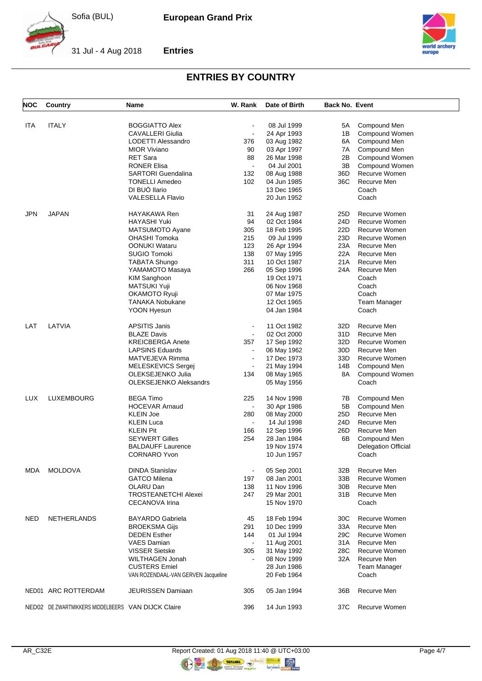

**Entries**



31 Jul - 4 Aug 2018



#### **ENTRIES BY COUNTRY**

| <b>NOC</b> | Country                                            | Name                                | W. Rank        | Date of Birth | <b>Back No. Event</b> |                            |
|------------|----------------------------------------------------|-------------------------------------|----------------|---------------|-----------------------|----------------------------|
|            |                                                    |                                     |                |               |                       |                            |
| ITA        | <b>ITALY</b>                                       | <b>BOGGIATTO Alex</b>               |                | 08 Jul 1999   | 5А                    | Compound Men               |
|            |                                                    | <b>CAVALLERI Giulia</b>             | $\blacksquare$ | 24 Apr 1993   | 1B                    | Compound Women             |
|            |                                                    | LODETTI Alessandro                  | 376            | 03 Aug 1982   | 6A                    | Compound Men               |
|            |                                                    | <b>MIOR Viviano</b>                 | 90             | 03 Apr 1997   | 7A                    | Compound Men               |
|            |                                                    | <b>RET Sara</b>                     | 88             | 26 Mar 1998   | 2B                    | Compound Women             |
|            |                                                    | <b>RONER Elisa</b>                  | $\blacksquare$ | 04 Jul 2001   | 3B                    | Compound Women             |
|            |                                                    | <b>SARTORI</b> Guendalina           | 132            | 08 Aug 1988   | 36D                   | Recurve Women              |
|            |                                                    | <b>TONELLI Amedeo</b>               | 102            | 04 Jun 1985   | 36C                   | Recurve Men                |
|            |                                                    | DI BUÒ llario                       |                | 13 Dec 1965   |                       | Coach                      |
|            |                                                    | <b>VALESELLA Flavio</b>             |                | 20 Jun 1952   |                       | Coach                      |
| <b>JPN</b> | <b>JAPAN</b>                                       | HAYAKAWA Ren                        | 31             | 24 Aug 1987   | 25D                   | Recurve Women              |
|            |                                                    | HAYASHI Yuki                        | 94             | 02 Oct 1984   | 24D                   | Recurve Women              |
|            |                                                    | MATSUMOTO Ayane                     | 305            | 18 Feb 1995   | 22D                   | Recurve Women              |
|            |                                                    | <b>OHASHI Tomoka</b>                | 215            | 09 Jul 1999   | 23D                   | Recurve Women              |
|            |                                                    | <b>OONUKI Wataru</b>                | 123            | 26 Apr 1994   | 23A                   | Recurve Men                |
|            |                                                    | <b>SUGIO Tomoki</b>                 | 138            | 07 May 1995   | 22A                   | Recurve Men                |
|            |                                                    | <b>TABATA Shungo</b>                | 311            | 10 Oct 1987   | 21A                   | Recurve Men                |
|            |                                                    | YAMAMOTO Masaya                     | 266            | 05 Sep 1996   | 24A                   | Recurve Men                |
|            |                                                    |                                     |                |               |                       | Coach                      |
|            |                                                    | <b>KIM Sanghoon</b>                 |                | 19 Oct 1971   |                       |                            |
|            |                                                    | MATSUKI Yuji                        |                | 06 Nov 1968   |                       | Coach                      |
|            |                                                    | <b>OKAMOTO Ryuji</b>                |                | 07 Mar 1975   |                       | Coach                      |
|            |                                                    | <b>TANAKA Nobukane</b>              |                | 12 Oct 1965   |                       | <b>Team Manager</b>        |
|            |                                                    | YOON Hyesun                         |                | 04 Jan 1984   |                       | Coach                      |
| LAT        | LATVIA                                             | <b>APSITIS Janis</b>                | $\blacksquare$ | 11 Oct 1982   | 32D                   | Recurve Men                |
|            |                                                    | <b>BLAZE Davis</b>                  | $\blacksquare$ | 02 Oct 2000   | 31D                   | Recurve Men                |
|            |                                                    | <b>KREICBERGA Anete</b>             | 357            | 17 Sep 1992   | 32D                   | Recurve Women              |
|            |                                                    | <b>LAPSINS Eduards</b>              | $\blacksquare$ | 06 May 1962   | 30D                   | Recurve Men                |
|            |                                                    | MATVEJEVA Rimma                     | $\blacksquare$ | 17 Dec 1973   | 33D                   | Recurve Women              |
|            |                                                    | MELESKEVICS Sergej                  |                | 21 May 1994   | 14B                   | Compound Men               |
|            |                                                    | OLEKSEJENKO Julia                   | 134            | 08 May 1965   | 8A                    | Compound Women             |
|            |                                                    | <b>OLEKSEJENKO Aleksandrs</b>       |                | 05 May 1956   |                       | Coach                      |
| LUX        | LUXEMBOURG                                         | <b>BEGA Timo</b>                    | 225            | 14 Nov 1998   | 7В                    | Compound Men               |
|            |                                                    | <b>HOCEVAR Arnaud</b>               |                | 30 Apr 1986   | 5Β                    | Compound Men               |
|            |                                                    | <b>KLEIN Joe</b>                    | 280            | 08 May 2000   | 25D                   | Recurve Men                |
|            |                                                    | <b>KLEIN Luca</b>                   | $\blacksquare$ | 14 Jul 1998   | 24D                   | Recurve Men                |
|            |                                                    | <b>KLEIN Pit</b>                    | 166            | 12 Sep 1996   | 26D                   | Recurve Men                |
|            |                                                    |                                     |                |               |                       |                            |
|            |                                                    | <b>SEYWERT Gilles</b>               | 254            | 28 Jan 1984   | 6B                    | Compound Men               |
|            |                                                    | <b>BALDAUFF Laurence</b>            |                | 19 Nov 1974   |                       | <b>Delegation Official</b> |
|            |                                                    | <b>CORNARO Yvon</b>                 |                | 10 Jun 1957   |                       | Coach                      |
| MDA        | <b>MOLDOVA</b>                                     | <b>DINDA Stanislav</b>              |                | 05 Sep 2001   | 32B                   | Recurve Men                |
|            |                                                    | <b>GATCO Milena</b>                 | 197            | 08 Jan 2001   | 33B                   | Recurve Women              |
|            |                                                    | OLARU Dan                           | 138            | 11 Nov 1996   | 30B                   | Recurve Men                |
|            |                                                    | <b>TROSTEANETCHI Alexei</b>         | 247            | 29 Mar 2001   | 31 B                  | Recurve Men                |
|            |                                                    | CECANOVA Irina                      |                | 15 Nov 1970   |                       | Coach                      |
| <b>NED</b> | <b>NETHERLANDS</b>                                 | <b>BAYARDO Gabriela</b>             | 45             | 18 Feb 1994   | 30C                   | Recurve Women              |
|            |                                                    | <b>BROEKSMA Gijs</b>                | 291            | 10 Dec 1999   | 33A                   | Recurve Men                |
|            |                                                    | <b>DEDEN</b> Esther                 | 144            | 01 Jul 1994   | 29C                   | Recurve Women              |
|            |                                                    | <b>VAES Damian</b>                  | $\blacksquare$ | 11 Aug 2001   | 31 A                  | Recurve Men                |
|            |                                                    | <b>VISSER Sietske</b>               | 305            | 31 May 1992   | 28C                   | Recurve Women              |
|            |                                                    | <b>WILTHAGEN Jonah</b>              |                |               |                       | Recurve Men                |
|            |                                                    |                                     |                | 08 Nov 1999   | 32A                   |                            |
|            |                                                    | <b>CUSTERS Emiel</b>                |                | 28 Jun 1986   |                       | <b>Team Manager</b>        |
|            |                                                    | VAN ROZENDAAL-VAN GERVEN Jacqueline |                | 20 Feb 1964   |                       | Coach                      |
|            | NED01 ARC ROTTERDAM                                | <b>JEURISSEN Damiaan</b>            | 305            | 05 Jan 1994   | 36B                   | Recurve Men                |
|            | NED02 DE ZWARTMIKKERS MIDDELBEERS VAN DIJCK Claire |                                     | 396            | 14 Jun 1993   | 37C                   | Recurve Women              |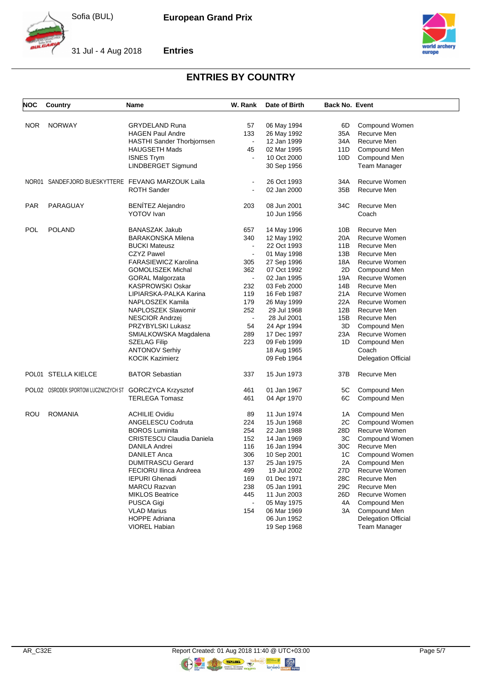

**Entries**



31 Jul - 4 Aug 2018



#### **ENTRIES BY COUNTRY**

| NOC        | Country                                           | Name                                      | W. Rank                  | Date of Birth              | <b>Back No. Event</b> |                              |
|------------|---------------------------------------------------|-------------------------------------------|--------------------------|----------------------------|-----------------------|------------------------------|
|            |                                                   |                                           |                          |                            |                       | Compound Women               |
| NOR.       | <b>NORWAY</b>                                     | <b>GRYDELAND Runa</b>                     | 57<br>133                | 06 May 1994                | 6D<br>35A             | Recurve Men                  |
|            |                                                   | <b>HAGEN Paul Andre</b>                   | $\blacksquare$           | 26 May 1992                |                       | Recurve Men                  |
|            |                                                   | <b>HASTHI Sander Thorbjornsen</b>         |                          | 12 Jan 1999<br>02 Mar 1995 | 34A                   |                              |
|            |                                                   | <b>HAUGSETH Mads</b><br><b>ISNES Trym</b> | 45                       |                            | 11D                   | Compound Men<br>Compound Men |
|            |                                                   | LINDBERGET Sigmund                        |                          | 10 Oct 2000<br>30 Sep 1956 | 10D                   | Team Manager                 |
|            | NOR01 SANDEFJORD BUESKYTTERE FEVANG MARZOUK Laila |                                           | $\blacksquare$           | 26 Oct 1993                | 34A                   | Recurve Women                |
|            |                                                   | <b>ROTH Sander</b>                        |                          | 02 Jan 2000                | 35B                   | Recurve Men                  |
| <b>PAR</b> | PARAGUAY                                          | <b>BENÍTEZ Alejandro</b>                  | 203                      | 08 Jun 2001                | 34C                   | Recurve Men                  |
|            |                                                   | YOTOV Ivan                                |                          | 10 Jun 1956                |                       | Coach                        |
| POL        | <b>POLAND</b>                                     | <b>BANASZAK Jakub</b>                     | 657                      | 14 May 1996                | 10B                   | Recurve Men                  |
|            |                                                   | <b>BARAKONSKA Milena</b>                  | 340                      | 12 May 1992                | 20A                   | Recurve Women                |
|            |                                                   | <b>BUCKI Mateusz</b>                      | $\blacksquare$           | 22 Oct 1993                | 11B                   | Recurve Men                  |
|            |                                                   | <b>CZYZ Pawel</b>                         | $\overline{\phantom{a}}$ | 01 May 1998                | 13B                   | Recurve Men                  |
|            |                                                   | <b>FARASIEWICZ Karolina</b>               | 305                      | 27 Sep 1996                | 18A                   | Recurve Women                |
|            |                                                   | <b>GOMOLISZEK Michal</b>                  | 362                      | 07 Oct 1992                | 2D                    | Compound Men                 |
|            |                                                   | <b>GORAL Malgorzata</b>                   | $\blacksquare$           | 02 Jan 1995                | 19A                   | Recurve Women                |
|            |                                                   | <b>KASPROWSKI Oskar</b>                   | 232                      | 03 Feb 2000                | 14B                   | Recurve Men                  |
|            |                                                   | LIPIARSKA-PALKA Karina                    | 119                      | 16 Feb 1987                | 21A                   | Recurve Women                |
|            |                                                   | NAPLOSZEK Kamila                          | 179                      | 26 May 1999                | 22A                   | Recurve Women                |
|            |                                                   | NAPLOSZEK Slawomir                        | 252                      | 29 Jul 1968                | 12B                   | Recurve Men                  |
|            |                                                   | NESCIOR Andrzej                           | $\Box$                   | 28 Jul 2001                | 15B                   | Recurve Men                  |
|            |                                                   | PRZYBYLSKI Lukasz                         | 54                       | 24 Apr 1994                | 3D                    | Compound Men                 |
|            |                                                   | SMIALKOWSKA Magdalena                     | 289                      | 17 Dec 1997                | 23A                   | Recurve Women                |
|            |                                                   | <b>SZELAG Filip</b>                       | 223                      | 09 Feb 1999                | 1D                    | Compound Men                 |
|            |                                                   | <b>ANTONOV Serhiy</b>                     |                          | 18 Aug 1965                |                       | Coach                        |
|            |                                                   | <b>KOCIK Kazimierz</b>                    |                          | 09 Feb 1964                |                       | <b>Delegation Official</b>   |
|            | POL01 STELLA KIELCE                               | <b>BATOR Sebastian</b>                    | 337                      | 15 Jun 1973                | 37B                   | Recurve Men                  |
|            | POLO2 OSRODEK SPORTOW LUCZNICZYCH ST              | <b>GORCZYCA Krzysztof</b>                 | 461                      | 01 Jan 1967                | 5C                    | Compound Men                 |
|            |                                                   | <b>TERLEGA Tomasz</b>                     | 461                      | 04 Apr 1970                | 6C                    | Compound Men                 |
| ROU        | <b>ROMANIA</b>                                    | <b>ACHILIE Ovidiu</b>                     | 89                       | 11 Jun 1974                | 1A                    | Compound Men                 |
|            |                                                   | ANGELESCU Codruta                         | 224                      | 15 Jun 1968                | 2C                    | Compound Women               |
|            |                                                   | <b>BOROS Luminita</b>                     | 254                      | 22 Jan 1988                | 28D                   | Recurve Women                |
|            |                                                   | <b>CRISTESCU Claudia Daniela</b>          | 152                      | 14 Jan 1969                | 3C                    | Compound Women               |
|            |                                                   | DANILA Andrei                             | 116                      | 16 Jan 1994                | 30C                   | Recurve Men                  |
|            |                                                   | <b>DANILET Anca</b>                       | 306                      | 10 Sep 2001                | 1C                    | Compound Women               |
|            |                                                   | <b>DUMITRASCU Gerard</b>                  | 137                      | 25 Jan 1975                | 2A                    | Compound Men                 |
|            |                                                   | <b>FECIORU Ilinca Andreea</b>             | 499                      | 19 Jul 2002                | 27D                   | Recurve Women                |
|            |                                                   | <b>IEPURI Ghenadi</b>                     | 169                      | 01 Dec 1971                | 28C                   | Recurve Men                  |
|            |                                                   | <b>MARCU Razvan</b>                       | 238                      | 05 Jan 1991                | 29C                   | Recurve Men                  |
|            |                                                   | <b>MIKLOS Beatrice</b>                    | 445                      | 11 Jun 2003                | 26D                   | Recurve Women                |
|            |                                                   | PUSCA Gigi                                | $\blacksquare$           | 05 May 1975                | 4A                    | Compound Men                 |
|            |                                                   | <b>VLAD Marius</b>                        | 154                      | 06 Mar 1969                | 3A                    | Compound Men                 |
|            |                                                   | <b>HOPPE Adriana</b>                      |                          | 06 Jun 1952                |                       | <b>Delegation Official</b>   |
|            |                                                   | <b>VIOREL Habian</b>                      |                          | 19 Sep 1968                |                       | Team Manager                 |

**ORIGINAL** 

COLOR TERRAIN &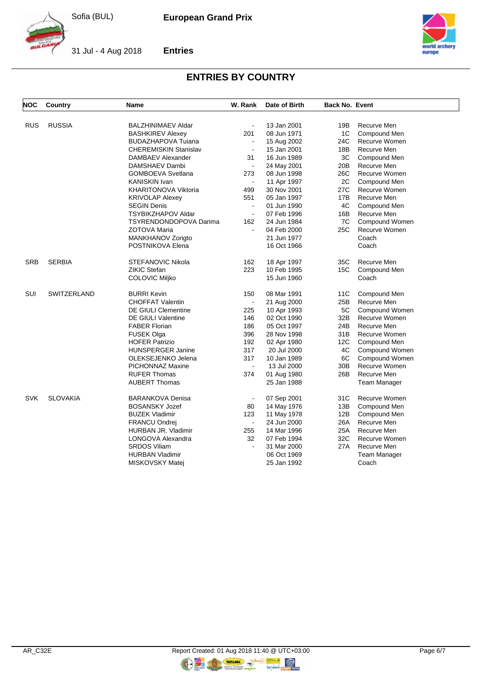

**European Grand Prix**



31 Jul - 4 Aug 2018



**Entries**

### **ENTRIES BY COUNTRY**

| <b>NOC</b> | <b>Country</b>  | Name                         | W. Rank                  | Date of Birth | <b>Back No. Event</b> |                      |
|------------|-----------------|------------------------------|--------------------------|---------------|-----------------------|----------------------|
| <b>RUS</b> | <b>RUSSIA</b>   | <b>BALZHINIMAEV Aldar</b>    | $\sim$                   | 13 Jan 2001   | 19B                   | Recurve Men          |
|            |                 | <b>BASHKIREV Alexey</b>      | 201                      | 08 Jun 1971   | 1C                    | Compound Men         |
|            |                 | <b>BUDAZHAPOVA Tuiana</b>    | $\blacksquare$           | 15 Aug 2002   | 24C                   | Recurve Women        |
|            |                 | <b>CHEREMISKIN Stanislav</b> | $\blacksquare$           | 15 Jan 2001   | 18B                   | Recurve Men          |
|            |                 | DAMBAEV Alexander            | 31                       | 16 Jun 1989   | 3C                    | Compound Men         |
|            |                 | DAMSHAEV Dambi               | $\blacksquare$           | 24 May 2001   | 20B                   | Recurve Men          |
|            |                 | <b>GOMBOEVA Svetlana</b>     | 273                      | 08 Jun 1998   | 26C                   | <b>Recurve Women</b> |
|            |                 | <b>KANISKIN Ivan</b>         | $\sim$                   | 11 Apr 1997   | 2C                    | Compound Men         |
|            |                 | KHARITONOVA Viktoria         | 499                      | 30 Nov 2001   | 27C                   | Recurve Women        |
|            |                 | <b>KRIVOLAP Alexey</b>       | 551                      | 05 Jan 1997   | 17B                   | Recurve Men          |
|            |                 | <b>SEGIN Denis</b>           | $\blacksquare$           | 01 Jun 1990   | 4C                    | Compound Men         |
|            |                 | <b>TSYBIKZHAPOV Aldar</b>    | $\sim$                   | 07 Feb 1996   | 16B                   | Recurve Men          |
|            |                 | TSYRENDONDOPOVA Darima       | 162                      | 24 Jun 1984   | 7C                    | Compound Women       |
|            |                 | ZOTOVA Maria                 | $\blacksquare$           | 04 Feb 2000   | 25C                   | Recurve Women        |
|            |                 | MANKHANOV Zorigto            |                          | 21 Jun 1977   |                       | Coach                |
|            |                 | POSTNIKOVA Elena             |                          | 16 Oct 1966   |                       | Coach                |
|            |                 |                              |                          |               |                       |                      |
| <b>SRB</b> | <b>SERBIA</b>   | <b>STEFANOVIC Nikola</b>     | 162                      | 18 Apr 1997   | 35C                   | Recurve Men          |
|            |                 | ZIKIC Stefan                 | 223                      | 10 Feb 1995   | 15C                   | Compound Men         |
|            |                 | <b>COLOVIC Miljko</b>        |                          | 15 Jun 1960   |                       | Coach                |
| SUI        | SWITZERLAND     | <b>BURRI Kevin</b>           | 150                      | 08 Mar 1991   | 11C                   | Compound Men         |
|            |                 | <b>CHOFFAT Valentin</b>      | $\blacksquare$           | 21 Aug 2000   | 25B                   | Recurve Men          |
|            |                 | <b>DE GIULI Clementine</b>   | 225                      | 10 Apr 1993   | 5C                    | Compound Women       |
|            |                 | <b>DE GIULI Valentine</b>    | 146                      | 02 Oct 1990   | 32B                   | Recurve Women        |
|            |                 | <b>FABER Florian</b>         | 186                      | 05 Oct 1997   | 24B                   | Recurve Men          |
|            |                 | <b>FUSEK Olga</b>            | 396                      | 28 Nov 1998   | 31B                   | Recurve Women        |
|            |                 | <b>HOFER Patrizio</b>        | 192                      | 02 Apr 1980   | 12C                   | Compound Men         |
|            |                 | <b>HUNSPERGER Janine</b>     | 317                      | 20 Jul 2000   | 4C                    | Compound Women       |
|            |                 | OLEKSEJENKO Jelena           | 317                      | 10 Jan 1989   | 6C                    | Compound Women       |
|            |                 | PICHONNAZ Maxine             | $\blacksquare$           | 13 Jul 2000   | 30B                   | <b>Recurve Women</b> |
|            |                 | <b>RUFER Thomas</b>          | 374                      | 01 Aug 1980   | 26B                   | Recurve Men          |
|            |                 | <b>AUBERT Thomas</b>         |                          | 25 Jan 1988   |                       | Team Manager         |
| <b>SVK</b> | <b>SLOVAKIA</b> | <b>BARANKOVA Denisa</b>      | $\blacksquare$           | 07 Sep 2001   | 31C                   | <b>Recurve Women</b> |
|            |                 | <b>BOSANSKY Jozef</b>        | 80                       | 14 May 1976   | 13B                   | Compound Men         |
|            |                 | <b>BUZEK Vladimir</b>        | 123                      | 11 May 1978   | 12B                   | Compound Men         |
|            |                 | <b>FRANCU Ondrej</b>         | $\blacksquare$           | 24 Jun 2000   | 26A                   | Recurve Men          |
|            |                 | <b>HURBAN JR. Vladimir</b>   | 255                      | 14 Mar 1996   | 25A                   | Recurve Men          |
|            |                 | LONGOVA Alexandra            | 32                       | 07 Feb 1994   | 32C                   | Recurve Women        |
|            |                 | <b>SRDOS Viliam</b>          | $\overline{\phantom{a}}$ | 31 Mar 2000   | 27A                   | Recurve Men          |
|            |                 | <b>HURBAN Vladimir</b>       |                          | 06 Oct 1969   |                       | Team Manager         |
|            |                 | MISKOVSKY Matej              |                          | 25 Jan 1992   |                       | Coach                |